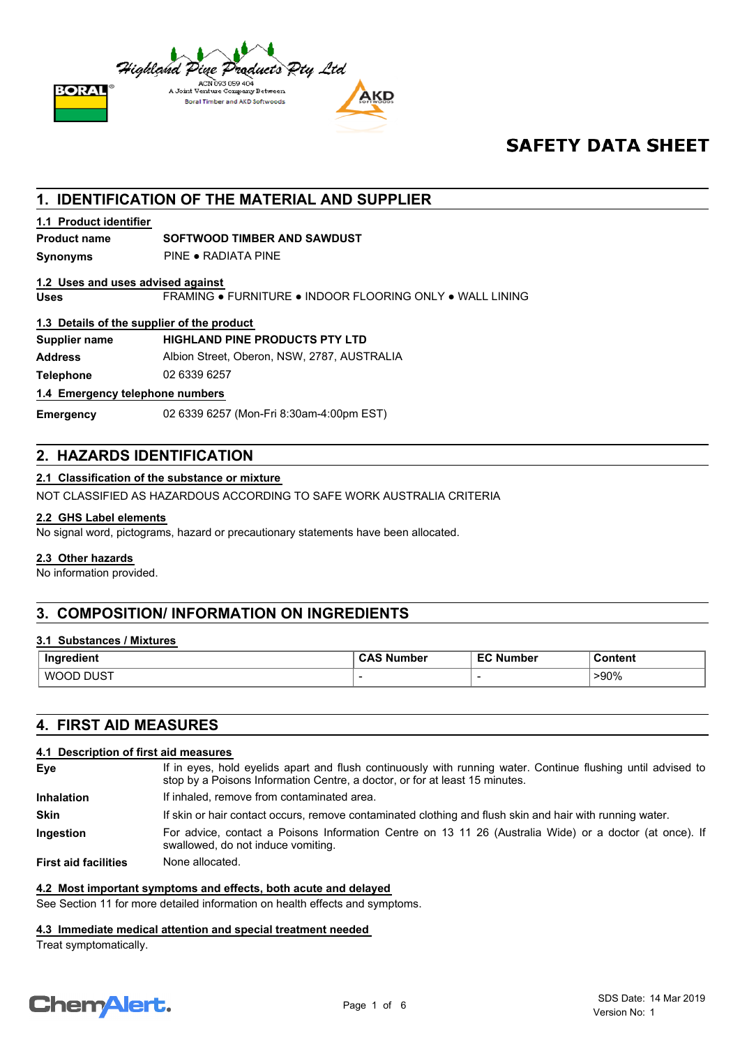

# **SAFETY DATA SHEET**

# **1. IDENTIFICATION OF THE MATERIAL AND SUPPLIER**

#### **1.1 Product identifier**

### **Product name SOFTWOOD TIMBER AND SAWDUST**

**Synonyms** PINE ● RADIATA PINE

#### **1.2 Uses and uses advised against**

**Uses** FRAMING ● FURNITURE ● INDOOR FLOORING ONLY ● WALL LINING

#### **1.3 Details of the supplier of the product**

| Supplier name | <b>HIGHLAND PINE PRODUCTS PTY LTD</b> |
|---------------|---------------------------------------|
|               |                                       |

**Address** Albion Street, Oberon, NSW, 2787, AUSTRALIA

**Telephone** 02 6339 6257

#### **1.4 Emergency telephone numbers**

**Emergency** 02 6339 6257 (Mon-Fri 8:30am-4:00pm EST)

# **2. HAZARDS IDENTIFICATION**

#### **2.1 Classification of the substance or mixture**

NOT CLASSIFIED AS HAZARDOUS ACCORDING TO SAFE WORK AUSTRALIA CRITERIA

#### **2.2 GHS Label elements**

No signal word, pictograms, hazard or precautionary statements have been allocated.

#### **2.3 Other hazards**

No information provided.

# **3. COMPOSITION/ INFORMATION ON INGREDIENTS**

#### **3.1 Substances / Mixtures**

| Ingredient          | <b>CAS Number</b> | <b>EC Number</b> | Content |
|---------------------|-------------------|------------------|---------|
| DUST ر<br>WC<br>וחר |                   |                  | -90%    |

## **4. FIRST AID MEASURES**

#### **4.1 Description of first aid measures**

| Eye                         | If in eyes, hold eyelids apart and flush continuously with running water. Continue flushing until advised to<br>stop by a Poisons Information Centre, a doctor, or for at least 15 minutes. |
|-----------------------------|---------------------------------------------------------------------------------------------------------------------------------------------------------------------------------------------|
| <b>Inhalation</b>           | If inhaled, remove from contaminated area.                                                                                                                                                  |
| <b>Skin</b>                 | If skin or hair contact occurs, remove contaminated clothing and flush skin and hair with running water.                                                                                    |
| <b>Ingestion</b>            | For advice, contact a Poisons Information Centre on 13 11 26 (Australia Wide) or a doctor (at once). If<br>swallowed, do not induce vomiting.                                               |
| <b>First aid facilities</b> | None allocated.                                                                                                                                                                             |

#### **4.2 Most important symptoms and effects, both acute and delayed**

See Section 11 for more detailed information on health effects and symptoms.

#### **4.3 Immediate medical attention and special treatment needed**

Treat symptomatically.

# **ChemAlert.**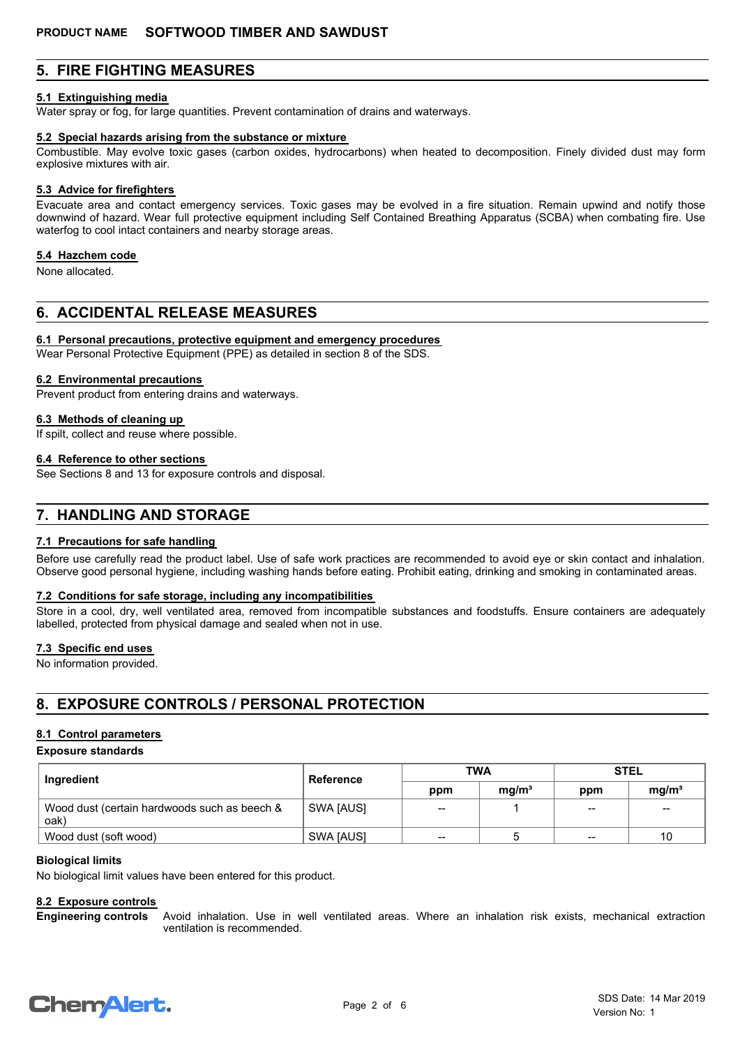# **5. FIRE FIGHTING MEASURES**

#### **5.1 Extinguishing media**

Water spray or fog, for large quantities. Prevent contamination of drains and waterways.

#### **5.2 Special hazards arising from the substance or mixture**

Combustible. May evolve toxic gases (carbon oxides, hydrocarbons) when heated to decomposition. Finely divided dust may form explosive mixtures with air.

#### **5.3 Advice for firefighters**

Evacuate area and contact emergency services. Toxic gases may be evolved in a fire situation. Remain upwind and notify those downwind of hazard. Wear full protective equipment including Self Contained Breathing Apparatus (SCBA) when combating fire. Use waterfog to cool intact containers and nearby storage areas.

#### **5.4 Hazchem code**

None allocated.

# **6. ACCIDENTAL RELEASE MEASURES**

#### **6.1 Personal precautions, protective equipment and emergency procedures**

Wear Personal Protective Equipment (PPE) as detailed in section 8 of the SDS.

#### **6.2 Environmental precautions**

Prevent product from entering drains and waterways.

#### **6.3 Methods of cleaning up**

If spilt, collect and reuse where possible.

#### **6.4 Reference to other sections**

See Sections 8 and 13 for exposure controls and disposal.

# **7. HANDLING AND STORAGE**

#### **7.1 Precautions for safe handling**

Before use carefully read the product label. Use of safe work practices are recommended to avoid eye or skin contact and inhalation. Observe good personal hygiene, including washing hands before eating. Prohibit eating, drinking and smoking in contaminated areas.

#### **7.2 Conditions for safe storage, including any incompatibilities**

Store in a cool, dry, well ventilated area, removed from incompatible substances and foodstuffs. Ensure containers are adequately labelled, protected from physical damage and sealed when not in use.

#### **7.3 Specific end uses**

No information provided.

# **8. EXPOSURE CONTROLS / PERSONAL PROTECTION**

#### **8.1 Control parameters**

#### **Exposure standards**

| Ingredient                                           | <b>Reference</b>  | <b>TWA</b> |                   | <b>STEL</b>              |                   |
|------------------------------------------------------|-------------------|------------|-------------------|--------------------------|-------------------|
|                                                      |                   | ppm        | mq/m <sup>3</sup> | ppm                      | mq/m <sup>3</sup> |
| Wood dust (certain hardwoods such as beech &<br>oak) | SWA [AUS]         | $- -$      |                   | $- -$                    | $\qquad \qquad$   |
| Wood dust (soft wood)                                | SWA <b>IAUS</b> I | $-$        |                   | $\overline{\phantom{a}}$ | 10                |

#### **Biological limits**

No biological limit values have been entered for this product.

#### **8.2 Exposure controls**

**Engineering controls**

Avoid inhalation. Use in well ventilated areas. Where an inhalation risk exists, mechanical extraction ventilation is recommended.

# **ChemAlert.**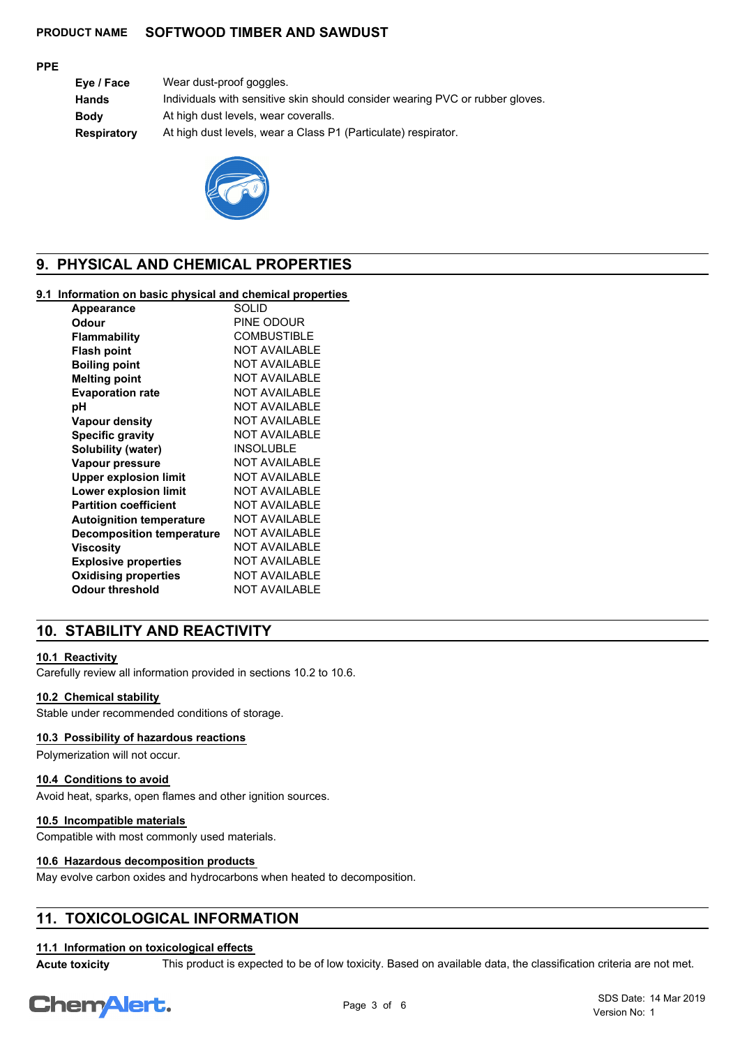#### **PPE**

| Eye / Face         | Wear dust-proof goggles.                                                      |
|--------------------|-------------------------------------------------------------------------------|
| Hands              | Individuals with sensitive skin should consider wearing PVC or rubber gloves. |
| <b>Body</b>        | At high dust levels, wear coveralls.                                          |
| <b>Respiratory</b> | At high dust levels, wear a Class P1 (Particulate) respirator.                |



# **9. PHYSICAL AND CHEMICAL PROPERTIES**

#### **9.1 Information on basic physical and chemical properties**

| <b>Appearance</b>                | SOLID                |
|----------------------------------|----------------------|
| Odour                            | PINE ODOUR           |
| Flammability                     | <b>COMBUSTIBLE</b>   |
| <b>Flash point</b>               | <b>NOT AVAILABLE</b> |
| <b>Boiling point</b>             | <b>NOT AVAILABLE</b> |
| <b>Melting point</b>             | <b>NOT AVAILABLE</b> |
| <b>Evaporation rate</b>          | <b>NOT AVAILABLE</b> |
| рH                               | <b>NOT AVAILABLE</b> |
| <b>Vapour density</b>            | <b>NOT AVAILABLE</b> |
| <b>Specific gravity</b>          | <b>NOT AVAILABLE</b> |
| Solubility (water)               | INSOLUBLE            |
| Vapour pressure                  | <b>NOT AVAILABLE</b> |
| <b>Upper explosion limit</b>     | <b>NOT AVAILABLE</b> |
| <b>Lower explosion limit</b>     | <b>NOT AVAILABLE</b> |
| <b>Partition coefficient</b>     | <b>NOT AVAILABLE</b> |
| <b>Autoignition temperature</b>  | <b>NOT AVAILABLE</b> |
| <b>Decomposition temperature</b> | <b>NOT AVAILABLE</b> |
| Viscosity                        | <b>NOT AVAILABLE</b> |
| <b>Explosive properties</b>      | <b>NOT AVAILABLE</b> |
| <b>Oxidising properties</b>      | <b>NOT AVAILABLE</b> |
| <b>Odour threshold</b>           | <b>NOT AVAILABLE</b> |
|                                  |                      |

# **10. STABILITY AND REACTIVITY**

## **10.1 Reactivity**

Carefully review all information provided in sections 10.2 to 10.6.

#### **10.2 Chemical stability**

Stable under recommended conditions of storage.

## **10.3 Possibility of hazardous reactions**

Polymerization will not occur.

#### **10.4 Conditions to avoid**

Avoid heat, sparks, open flames and other ignition sources.

#### **10.5 Incompatible materials**

Compatible with most commonly used materials.

#### **10.6 Hazardous decomposition products**

May evolve carbon oxides and hydrocarbons when heated to decomposition.

# **11. TOXICOLOGICAL INFORMATION**

#### **11.1 Information on toxicological effects**

Acute toxicity This product is expected to be of low toxicity. Based on available data, the classification criteria are not met.

# **Chemalert.**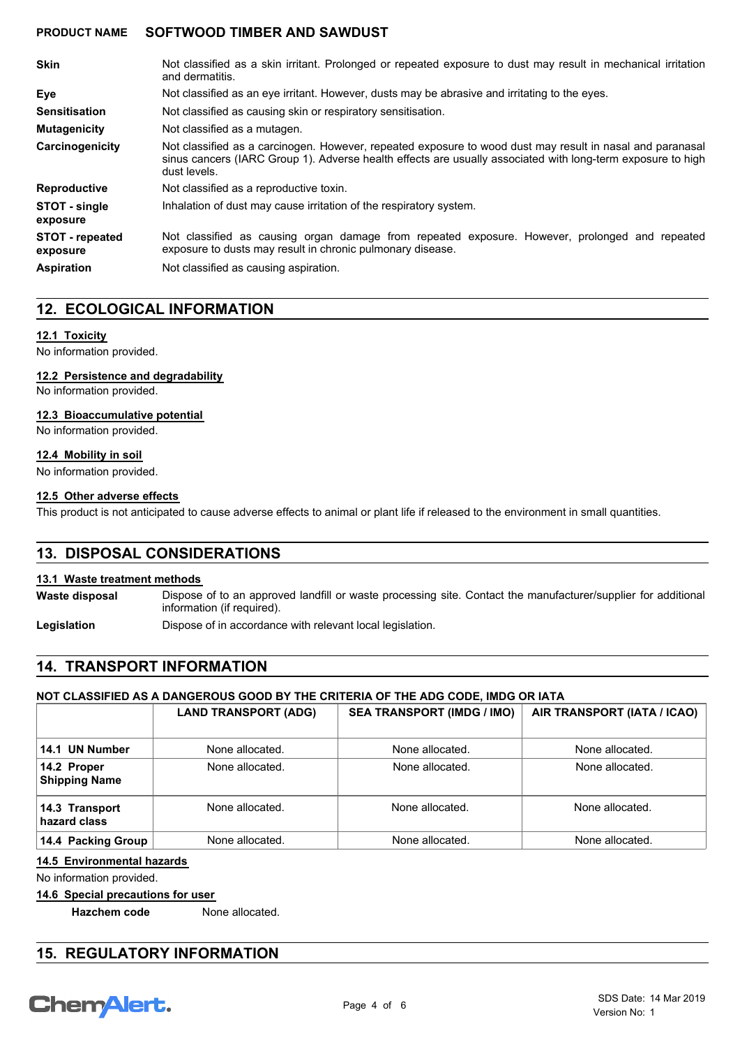| <b>Skin</b>                        | Not classified as a skin irritant. Prolonged or repeated exposure to dust may result in mechanical irritation<br>and dermatitis.                                                                                                         |  |
|------------------------------------|------------------------------------------------------------------------------------------------------------------------------------------------------------------------------------------------------------------------------------------|--|
| Eye                                | Not classified as an eye irritant. However, dusts may be abrasive and irritating to the eyes.                                                                                                                                            |  |
| <b>Sensitisation</b>               | Not classified as causing skin or respiratory sensitisation.                                                                                                                                                                             |  |
| <b>Mutagenicity</b>                | Not classified as a mutagen.                                                                                                                                                                                                             |  |
| Carcinogenicity                    | Not classified as a carcinogen. However, repeated exposure to wood dust may result in nasal and paranasal<br>sinus cancers (IARC Group 1). Adverse health effects are usually associated with long-term exposure to high<br>dust levels. |  |
| <b>Reproductive</b>                | Not classified as a reproductive toxin.                                                                                                                                                                                                  |  |
| STOT - single<br>exposure          | Inhalation of dust may cause irritation of the respiratory system.                                                                                                                                                                       |  |
| <b>STOT</b> - repeated<br>exposure | Not classified as causing organ damage from repeated exposure. However, prolonged and repeated<br>exposure to dusts may result in chronic pulmonary disease.                                                                             |  |
| <b>Aspiration</b>                  | Not classified as causing aspiration.                                                                                                                                                                                                    |  |

# **12. ECOLOGICAL INFORMATION**

#### **12.1 Toxicity**

No information provided.

#### **12.2 Persistence and degradability**

No information provided.

### **12.3 Bioaccumulative potential**

No information provided.

## **12.4 Mobility in soil**

No information provided.

#### **12.5 Other adverse effects**

This product is not anticipated to cause adverse effects to animal or plant life if released to the environment in small quantities.

# **13. DISPOSAL CONSIDERATIONS**

#### **13.1 Waste treatment methods**

Dispose of to an approved landfill or waste processing site. Contact the manufacturer/supplier for additional information (if required). **Waste disposal**

Legislation **Dispose of in accordance with relevant local legislation.** 

## **14. TRANSPORT INFORMATION**

#### **NOT CLASSIFIED AS A DANGEROUS GOOD BY THE CRITERIA OF THE ADG CODE, IMDG OR IATA**

|                                     | <b>LAND TRANSPORT (ADG)</b> | <b>SEA TRANSPORT (IMDG / IMO)</b> | AIR TRANSPORT (IATA / ICAO) |
|-------------------------------------|-----------------------------|-----------------------------------|-----------------------------|
| 14.1 UN Number                      | None allocated.             | None allocated.                   | None allocated.             |
| 14.2 Proper<br><b>Shipping Name</b> | None allocated.             | None allocated.                   | None allocated.             |
| 14.3 Transport<br>hazard class      | None allocated.             | None allocated.                   | None allocated.             |
| 14.4 Packing Group                  | None allocated.             | None allocated.                   | None allocated.             |

#### **14.5 Environmental hazards**

No information provided.

#### **14.6 Special precautions for user**

**Hazchem code** None allocated.

# **15. REGULATORY INFORMATION**

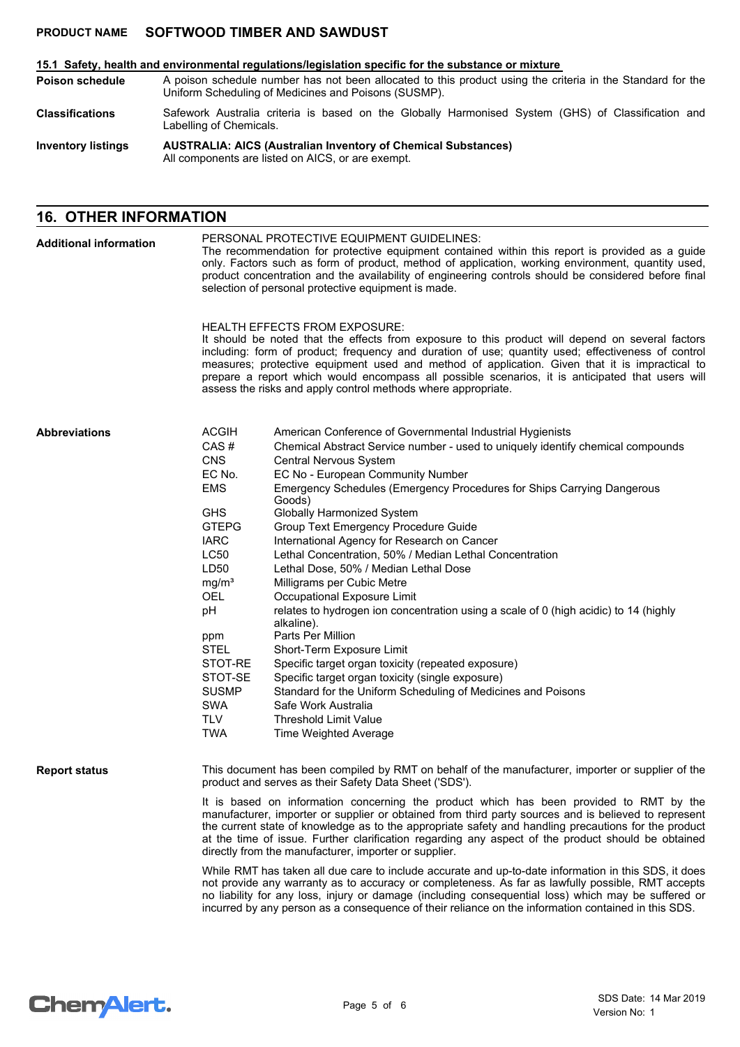#### **15.1 Safety, health and environmental regulations/legislation specific for the substance or mixture**

A poison schedule number has not been allocated to this product using the criteria in the Standard for the Uniform Scheduling of Medicines and Poisons (SUSMP). **Poison schedule**

Safework Australia criteria is based on the Globally Harmonised System (GHS) of Classification and Labelling of Chemicals. **Classifications**

**AUSTRALIA: AICS (Australian Inventory of Chemical Substances)** All components are listed on AICS, or are exempt. **Inventory listings**

# **16. OTHER INFORMATION**

| <b>Additional information</b> | PERSONAL PROTECTIVE EQUIPMENT GUIDELINES:<br>The recommendation for protective equipment contained within this report is provided as a guide<br>only. Factors such as form of product, method of application, working environment, quantity used,<br>product concentration and the availability of engineering controls should be considered before final<br>selection of personal protective equipment is made. |                                                                                                                                                                                                                                                                                                                                                                                                                                                                                                                                                                                                                                                                                                                                                                                                                                                                                                                                                                                                                                                                  |  |  |
|-------------------------------|------------------------------------------------------------------------------------------------------------------------------------------------------------------------------------------------------------------------------------------------------------------------------------------------------------------------------------------------------------------------------------------------------------------|------------------------------------------------------------------------------------------------------------------------------------------------------------------------------------------------------------------------------------------------------------------------------------------------------------------------------------------------------------------------------------------------------------------------------------------------------------------------------------------------------------------------------------------------------------------------------------------------------------------------------------------------------------------------------------------------------------------------------------------------------------------------------------------------------------------------------------------------------------------------------------------------------------------------------------------------------------------------------------------------------------------------------------------------------------------|--|--|
|                               |                                                                                                                                                                                                                                                                                                                                                                                                                  | <b>HEALTH EFFECTS FROM EXPOSURE:</b><br>It should be noted that the effects from exposure to this product will depend on several factors<br>including: form of product; frequency and duration of use; quantity used; effectiveness of control<br>measures; protective equipment used and method of application. Given that it is impractical to<br>prepare a report which would encompass all possible scenarios, it is anticipated that users will<br>assess the risks and apply control methods where appropriate.                                                                                                                                                                                                                                                                                                                                                                                                                                                                                                                                            |  |  |
| <b>Abbreviations</b>          | <b>ACGIH</b><br>CAS#<br><b>CNS</b><br>EC No.<br><b>EMS</b><br><b>GHS</b><br><b>GTEPG</b><br><b>IARC</b><br>LC50<br>LD50<br>mg/m <sup>3</sup><br><b>OEL</b><br>pH<br>ppm<br><b>STEL</b><br>STOT-RE<br>STOT-SE<br><b>SUSMP</b><br><b>SWA</b><br><b>TLV</b><br><b>TWA</b>                                                                                                                                           | American Conference of Governmental Industrial Hygienists<br>Chemical Abstract Service number - used to uniquely identify chemical compounds<br>Central Nervous System<br>EC No - European Community Number<br>Emergency Schedules (Emergency Procedures for Ships Carrying Dangerous<br>Goods)<br><b>Globally Harmonized System</b><br>Group Text Emergency Procedure Guide<br>International Agency for Research on Cancer<br>Lethal Concentration, 50% / Median Lethal Concentration<br>Lethal Dose, 50% / Median Lethal Dose<br>Milligrams per Cubic Metre<br>Occupational Exposure Limit<br>relates to hydrogen ion concentration using a scale of 0 (high acidic) to 14 (highly<br>alkaline).<br>Parts Per Million<br>Short-Term Exposure Limit<br>Specific target organ toxicity (repeated exposure)<br>Specific target organ toxicity (single exposure)<br>Standard for the Uniform Scheduling of Medicines and Poisons<br>Safe Work Australia<br><b>Threshold Limit Value</b><br>Time Weighted Average                                                   |  |  |
| <b>Report status</b>          |                                                                                                                                                                                                                                                                                                                                                                                                                  | This document has been compiled by RMT on behalf of the manufacturer, importer or supplier of the<br>product and serves as their Safety Data Sheet ('SDS').<br>It is based on information concerning the product which has been provided to RMT by the<br>manufacturer, importer or supplier or obtained from third party sources and is believed to represent<br>the current state of knowledge as to the appropriate safety and handling precautions for the product<br>at the time of issue. Further clarification regarding any aspect of the product should be obtained<br>directly from the manufacturer, importer or supplier.<br>While RMT has taken all due care to include accurate and up-to-date information in this SDS, it does<br>not provide any warranty as to accuracy or completeness. As far as lawfully possible, RMT accepts<br>no liability for any loss, injury or damage (including consequential loss) which may be suffered or<br>incurred by any person as a consequence of their reliance on the information contained in this SDS. |  |  |

# **Chemalert.**